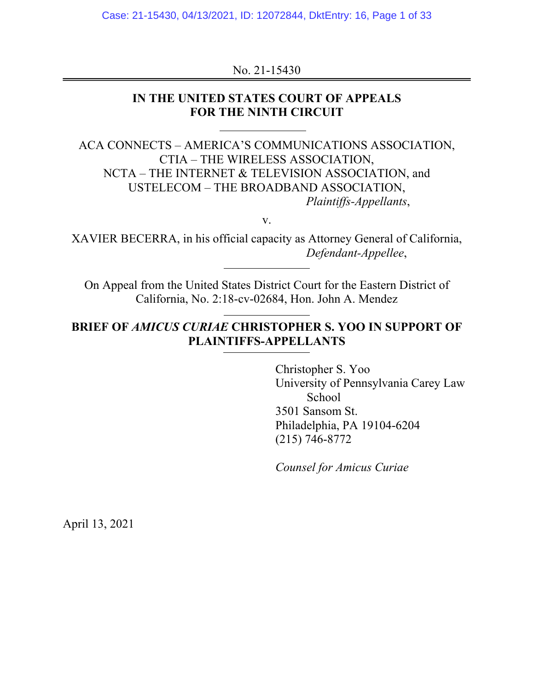Case: 21-15430, 04/13/2021, ID: 12072844, DktEntry: 16, Page 1 of 33

No. 21-15430

## **IN THE UNITED STATES COURT OF APPEALS FOR THE NINTH CIRCUIT**

ACA CONNECTS – AMERICA'S COMMUNICATIONS ASSOCIATION, CTIA – THE WIRELESS ASSOCIATION, NCTA – THE INTERNET & TELEVISION ASSOCIATION, and USTELECOM – THE BROADBAND ASSOCIATION, *Plaintiffs-Appellants*,

v.

XAVIER BECERRA, in his official capacity as Attorney General of California, *Defendant-Appellee*,

On Appeal from the United States District Court for the Eastern District of California, No. 2:18-cv-02684, Hon. John A. Mendez

## **BRIEF OF** *AMICUS CURIAE* **CHRISTOPHER S. YOO IN SUPPORT OF PLAINTIFFS-APPELLANTS**

 Christopher S. Yoo University of Pennsylvania Carey Law School 3501 Sansom St. Philadelphia, PA 19104-6204 (215) 746-8772

*Counsel for Amicus Curiae*

April 13, 2021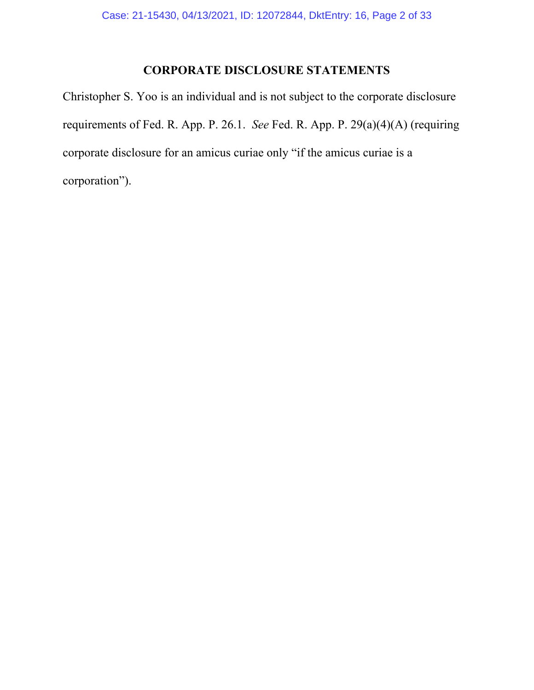## **CORPORATE DISCLOSURE STATEMENTS**

Christopher S. Yoo is an individual and is not subject to the corporate disclosure requirements of Fed. R. App. P. 26.1. *See* Fed. R. App. P. 29(a)(4)(A) (requiring corporate disclosure for an amicus curiae only "if the amicus curiae is a corporation").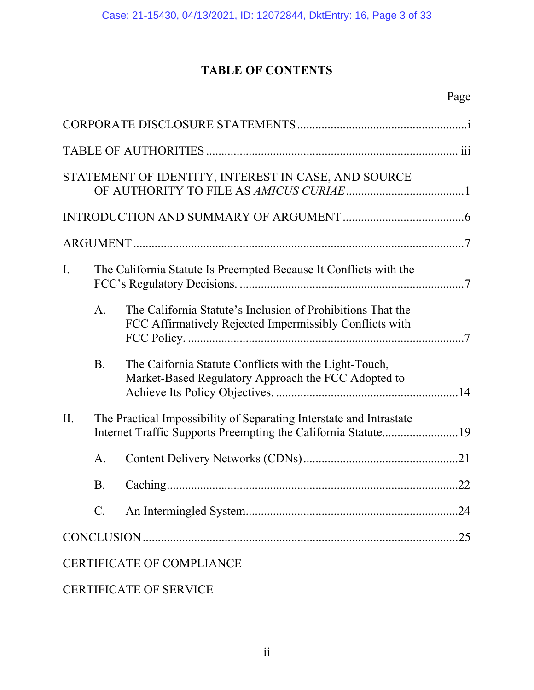# **TABLE OF CONTENTS**

| STATEMENT OF IDENTITY, INTEREST IN CASE, AND SOURCE |                |                                                                                                                                      |  |  |  |
|-----------------------------------------------------|----------------|--------------------------------------------------------------------------------------------------------------------------------------|--|--|--|
|                                                     |                |                                                                                                                                      |  |  |  |
|                                                     |                |                                                                                                                                      |  |  |  |
| $\mathbf{I}$ .                                      |                | The California Statute Is Preempted Because It Conflicts with the                                                                    |  |  |  |
|                                                     | A <sub>1</sub> | The California Statute's Inclusion of Prohibitions That the<br>FCC Affirmatively Rejected Impermissibly Conflicts with               |  |  |  |
|                                                     | <b>B.</b>      | The Caifornia Statute Conflicts with the Light-Touch,<br>Market-Based Regulatory Approach the FCC Adopted to                         |  |  |  |
| II.                                                 |                | The Practical Impossibility of Separating Interstate and Intrastate<br>Internet Traffic Supports Preempting the California Statute19 |  |  |  |
|                                                     | A.             |                                                                                                                                      |  |  |  |
|                                                     | <b>B.</b>      |                                                                                                                                      |  |  |  |
|                                                     | $C$ .          |                                                                                                                                      |  |  |  |
|                                                     |                |                                                                                                                                      |  |  |  |
|                                                     |                | <b>CERTIFICATE OF COMPLIANCE</b>                                                                                                     |  |  |  |

# CERTIFICATE OF SERVICE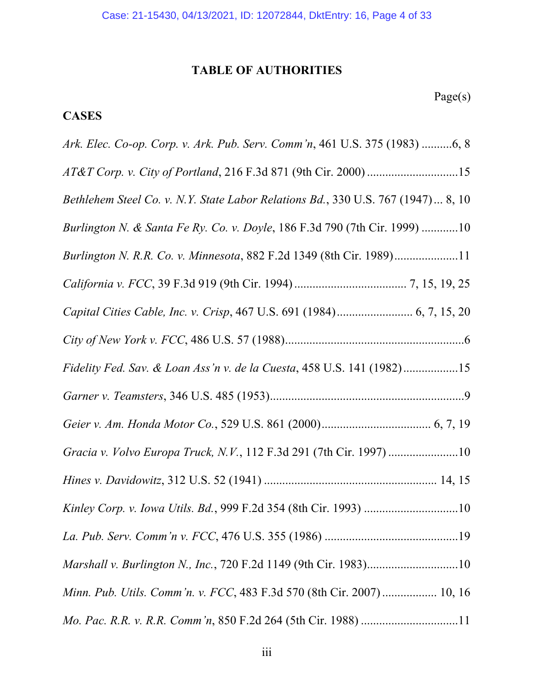# **TABLE OF AUTHORITIES**

# **CASES**

| Ark. Elec. Co-op. Corp. v. Ark. Pub. Serv. Comm'n, 461 U.S. 375 (1983) 6, 8      |
|----------------------------------------------------------------------------------|
|                                                                                  |
| Bethlehem Steel Co. v. N.Y. State Labor Relations Bd., 330 U.S. 767 (1947) 8, 10 |
| Burlington N. & Santa Fe Ry. Co. v. Doyle, 186 F.3d 790 (7th Cir. 1999) 10       |
| Burlington N. R.R. Co. v. Minnesota, 882 F.2d 1349 (8th Cir. 1989)11             |
|                                                                                  |
|                                                                                  |
|                                                                                  |
| Fidelity Fed. Sav. & Loan Ass'n v. de la Cuesta, 458 U.S. 141 (1982)15           |
|                                                                                  |
|                                                                                  |
| Gracia v. Volvo Europa Truck, N.V., 112 F.3d 291 (7th Cir. 1997)10               |
|                                                                                  |
|                                                                                  |
|                                                                                  |
| Marshall v. Burlington N., Inc., 720 F.2d 1149 (9th Cir. 1983)10                 |
| Minn. Pub. Utils. Comm'n. v. FCC, 483 F.3d 570 (8th Cir. 2007) 10, 16            |
|                                                                                  |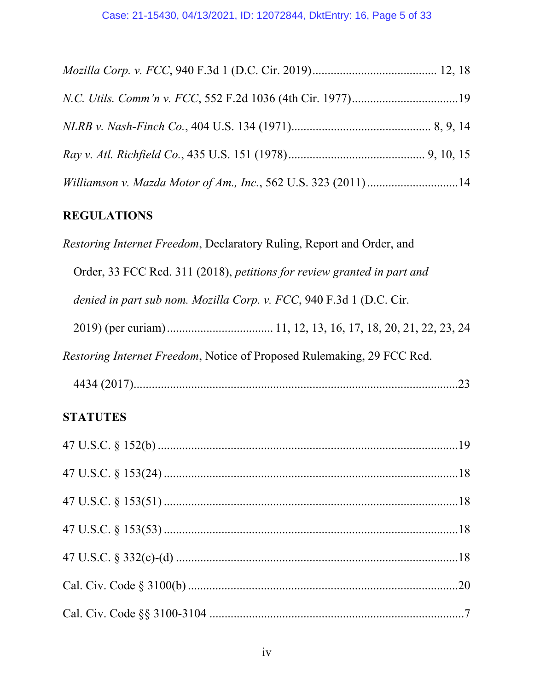| Williamson v. Mazda Motor of Am., Inc., 562 U.S. 323 (2011) 14 |  |
|----------------------------------------------------------------|--|

## **REGULATIONS**

*Restoring Internet Freedom*, Declaratory Ruling, Report and Order, and Order, 33 FCC Rcd. 311 (2018), *petitions for review granted in part and denied in part sub nom. Mozilla Corp. v. FCC*, 940 F.3d 1 (D.C. Cir. 2019) (per curiam) ................................... 11, 12, 13, 16, 17, 18, 20, 21, 22, 23, 24 *Restoring Internet Freedom*, Notice of Proposed Rulemaking, 29 FCC Rcd. 4434 (2017) ........................................................................................................... 23

## **STATUTES**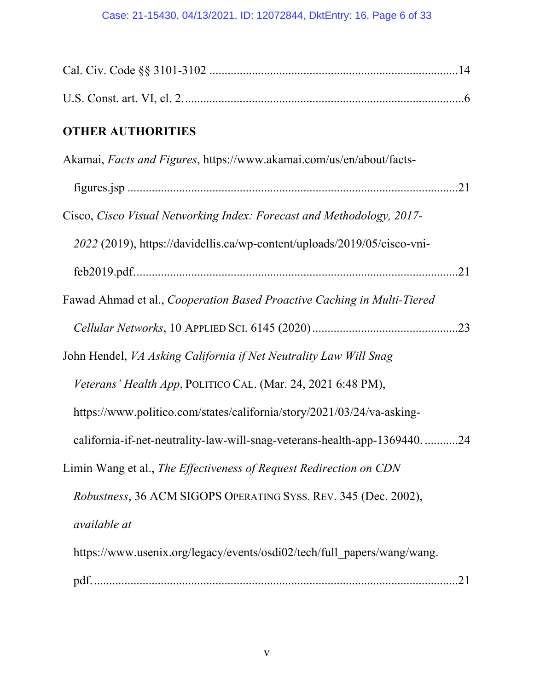# Case: 21-15430, 04/13/2021, ID: 12072844, DktEntry: 16, Page 6 of 33

| <b>OTHER AUTHORITIES</b>                                                 |
|--------------------------------------------------------------------------|
| Akamai, Facts and Figures, https://www.akamai.com/us/en/about/facts-     |
|                                                                          |
| Cisco, Cisco Visual Networking Index: Forecast and Methodology, 2017-    |
| 2022 (2019), https://davidellis.ca/wp-content/uploads/2019/05/cisco-vni- |
|                                                                          |
| Fawad Ahmad et al., Cooperation Based Proactive Caching in Multi-Tiered  |
|                                                                          |
| John Hendel, VA Asking California if Net Neutrality Law Will Snag        |
| Veterans' Health App, POLITICO CAL. (Mar. 24, 2021 6:48 PM),             |
| https://www.politico.com/states/california/story/2021/03/24/va-asking-   |
| california-if-net-neutrality-law-will-snag-veterans-health-app-136944024 |
| Limin Wang et al., The Effectiveness of Request Redirection on CDN       |
| Robustness, 36 ACM SIGOPS OPERATING SYSS. REV. 345 (Dec. 2002),          |
| <i>available at</i>                                                      |
| https://www.usenix.org/legacy/events/osdi02/tech/full papers/wang/wang.  |
|                                                                          |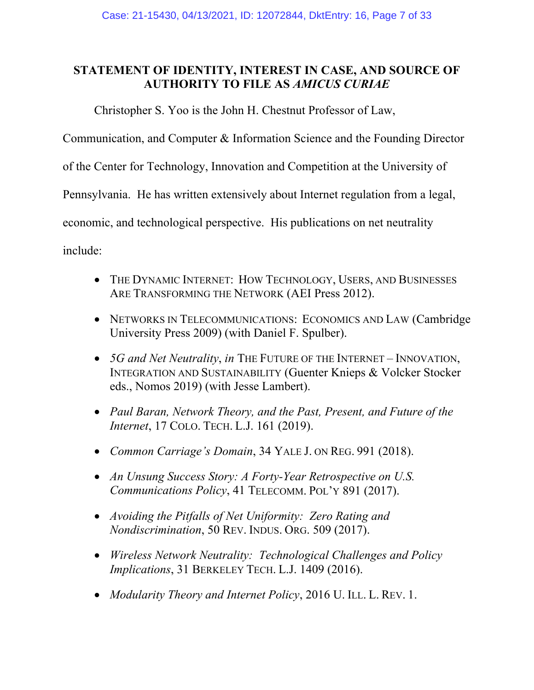## **STATEMENT OF IDENTITY, INTEREST IN CASE, AND SOURCE OF AUTHORITY TO FILE AS** *AMICUS CURIAE*

Christopher S. Yoo is the John H. Chestnut Professor of Law,

Communication, and Computer & Information Science and the Founding Director

of the Center for Technology, Innovation and Competition at the University of

Pennsylvania. He has written extensively about Internet regulation from a legal,

economic, and technological perspective. His publications on net neutrality

include:

- THE DYNAMIC INTERNET: HOW TECHNOLOGY, USERS, AND BUSINESSES ARE TRANSFORMING THE NETWORK (AEI Press 2012).
- NETWORKS IN TELECOMMUNICATIONS: ECONOMICS AND LAW (Cambridge University Press 2009) (with Daniel F. Spulber).
- *5G and Net Neutrality*, *in* THE FUTURE OF THE INTERNET INNOVATION, INTEGRATION AND SUSTAINABILITY (Guenter Knieps & Volcker Stocker eds., Nomos 2019) (with Jesse Lambert).
- *Paul Baran, Network Theory, and the Past, Present, and Future of the Internet*, 17 COLO. TECH. L.J. 161 (2019).
- *Common Carriage's Domain*, 34 YALE J. ON REG. 991 (2018).
- *An Unsung Success Story: A Forty-Year Retrospective on U.S. Communications Policy*, 41 TELECOMM. POL'Y 891 (2017).
- *Avoiding the Pitfalls of Net Uniformity: Zero Rating and Nondiscrimination*, 50 REV. INDUS. ORG. 509 (2017).
- *Wireless Network Neutrality: Technological Challenges and Policy Implications*, 31 BERKELEY TECH. L.J. 1409 (2016).
- *Modularity Theory and Internet Policy*, 2016 U. ILL. L. REV. 1.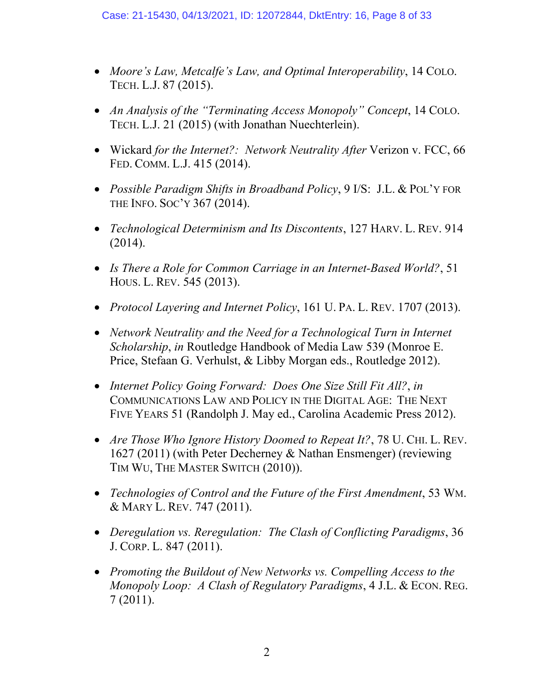- *Moore's Law, Metcalfe's Law, and Optimal Interoperability*, 14 COLO. TECH. L.J. 87 (2015).
- *An Analysis of the "Terminating Access Monopoly" Concept*, 14 COLO. TECH. L.J. 21 (2015) (with Jonathan Nuechterlein).
- Wickard *for the Internet?: Network Neutrality After* Verizon v. FCC, 66 FED. COMM. L.J. 415 (2014).
- *Possible Paradigm Shifts in Broadband Policy*, 9 I/S: J.L. & POL'Y FOR THE INFO. SOC'Y 367 (2014).
- *Technological Determinism and Its Discontents*, 127 HARV. L. REV. 914 (2014).
- *Is There a Role for Common Carriage in an Internet-Based World?*, 51 HOUS. L. REV. 545 (2013).
- *Protocol Layering and Internet Policy*, 161 U. PA. L. REV. 1707 (2013).
- *Network Neutrality and the Need for a Technological Turn in Internet Scholarship*, *in* Routledge Handbook of Media Law 539 (Monroe E. Price, Stefaan G. Verhulst, & Libby Morgan eds., Routledge 2012).
- *Internet Policy Going Forward: Does One Size Still Fit All?*, *in* COMMUNICATIONS LAW AND POLICY IN THE DIGITAL AGE: THE NEXT FIVE YEARS 51 (Randolph J. May ed., Carolina Academic Press 2012).
- *Are Those Who Ignore History Doomed to Repeat It?*, 78 U. CHI. L. REV. 1627 (2011) (with Peter Decherney & Nathan Ensmenger) (reviewing TIM WU, THE MASTER SWITCH (2010)).
- *Technologies of Control and the Future of the First Amendment*, 53 WM. & MARY L. REV. 747 (2011).
- *Deregulation vs. Reregulation: The Clash of Conflicting Paradigms*, 36 J. CORP. L. 847 (2011).
- *Promoting the Buildout of New Networks vs. Compelling Access to the Monopoly Loop: A Clash of Regulatory Paradigms*, 4 J.L. & ECON. REG. 7 (2011).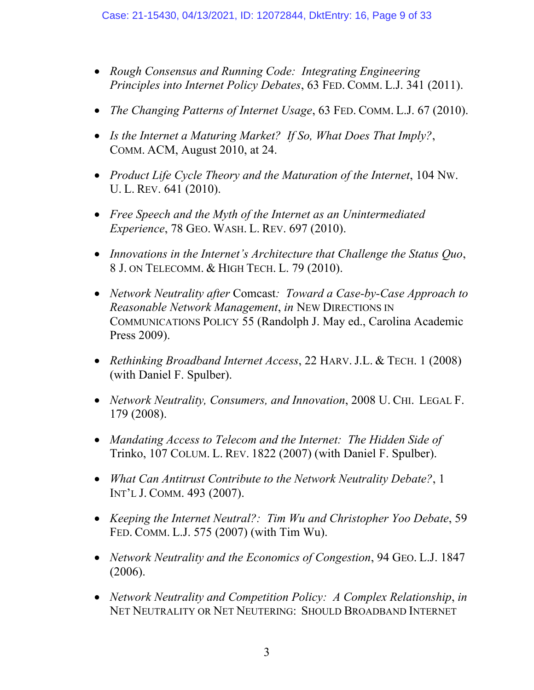- *Rough Consensus and Running Code: Integrating Engineering Principles into Internet Policy Debates*, 63 FED. COMM. L.J. 341 (2011).
- *The Changing Patterns of Internet Usage*, 63 FED. COMM. L.J. 67 (2010).
- *Is the Internet a Maturing Market? If So, What Does That Imply?*, COMM. ACM, August 2010, at 24.
- *Product Life Cycle Theory and the Maturation of the Internet*, 104 NW. U. L. REV. 641 (2010).
- *Free Speech and the Myth of the Internet as an Unintermediated Experience*, 78 GEO. WASH. L. REV. 697 (2010).
- *Innovations in the Internet's Architecture that Challenge the Status Quo*, 8 J. ON TELECOMM. & HIGH TECH. L. 79 (2010).
- *Network Neutrality after* Comcast*: Toward a Case-by-Case Approach to Reasonable Network Management*, *in* NEW DIRECTIONS IN COMMUNICATIONS POLICY 55 (Randolph J. May ed., Carolina Academic Press 2009).
- *Rethinking Broadband Internet Access*, 22 HARV. J.L. & TECH. 1 (2008) (with Daniel F. Spulber).
- *Network Neutrality, Consumers, and Innovation*, 2008 U. CHI. LEGAL F. 179 (2008).
- *Mandating Access to Telecom and the Internet: The Hidden Side of*  Trinko, 107 COLUM. L. REV. 1822 (2007) (with Daniel F. Spulber).
- *What Can Antitrust Contribute to the Network Neutrality Debate?*, 1 INT'L J. COMM. 493 (2007).
- *Keeping the Internet Neutral?: Tim Wu and Christopher Yoo Debate*, 59 FED. COMM. L.J. 575 (2007) (with Tim Wu).
- *Network Neutrality and the Economics of Congestion*, 94 GEO. L.J. 1847 (2006).
- *Network Neutrality and Competition Policy: A Complex Relationship*, *in* NET NEUTRALITY OR NET NEUTERING: SHOULD BROADBAND INTERNET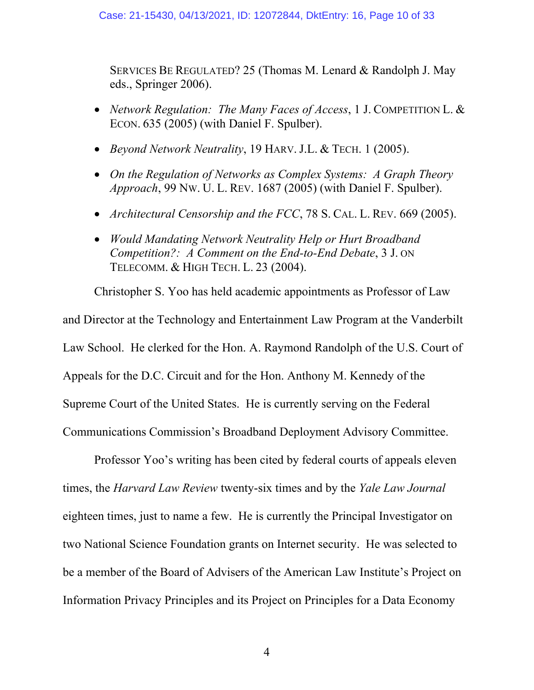SERVICES BE REGULATED? 25 (Thomas M. Lenard & Randolph J. May eds., Springer 2006).

- *Network Regulation: The Many Faces of Access*, 1 J. COMPETITION L. & ECON. 635 (2005) (with Daniel F. Spulber).
- *Beyond Network Neutrality*, 19 HARV. J.L. & TECH. 1 (2005).
- *On the Regulation of Networks as Complex Systems: A Graph Theory Approach*, 99 NW. U. L. REV. 1687 (2005) (with Daniel F. Spulber).
- *Architectural Censorship and the FCC*, 78 S. CAL. L. REV. 669 (2005).
- *Would Mandating Network Neutrality Help or Hurt Broadband Competition?: A Comment on the End-to-End Debate*, 3 J. ON TELECOMM. & HIGH TECH. L. 23 (2004).

Christopher S. Yoo has held academic appointments as Professor of Law and Director at the Technology and Entertainment Law Program at the Vanderbilt Law School. He clerked for the Hon. A. Raymond Randolph of the U.S. Court of Appeals for the D.C. Circuit and for the Hon. Anthony M. Kennedy of the Supreme Court of the United States. He is currently serving on the Federal Communications Commission's Broadband Deployment Advisory Committee.

Professor Yoo's writing has been cited by federal courts of appeals eleven times, the *Harvard Law Review* twenty-six times and by the *Yale Law Journal* eighteen times, just to name a few. He is currently the Principal Investigator on two National Science Foundation grants on Internet security. He was selected to be a member of the Board of Advisers of the American Law Institute's Project on Information Privacy Principles and its Project on Principles for a Data Economy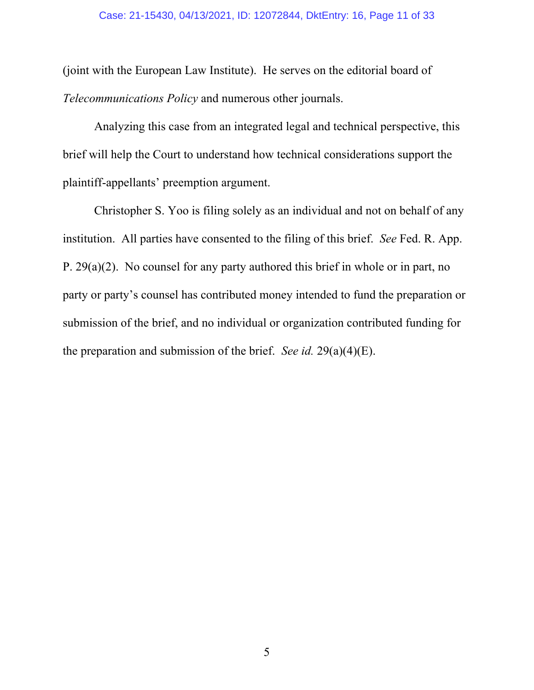(joint with the European Law Institute). He serves on the editorial board of *Telecommunications Policy* and numerous other journals.

Analyzing this case from an integrated legal and technical perspective, this brief will help the Court to understand how technical considerations support the plaintiff-appellants' preemption argument.

Christopher S. Yoo is filing solely as an individual and not on behalf of any institution. All parties have consented to the filing of this brief. *See* Fed. R. App. P. 29(a)(2). No counsel for any party authored this brief in whole or in part, no party or party's counsel has contributed money intended to fund the preparation or submission of the brief, and no individual or organization contributed funding for the preparation and submission of the brief. *See id.* 29(a)(4)(E).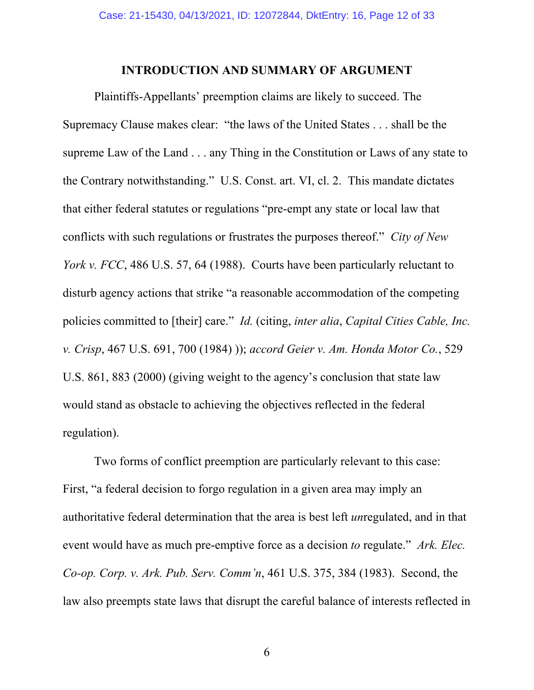#### **INTRODUCTION AND SUMMARY OF ARGUMENT**

Plaintiffs-Appellants' preemption claims are likely to succeed. The Supremacy Clause makes clear: "the laws of the United States . . . shall be the supreme Law of the Land . . . any Thing in the Constitution or Laws of any state to the Contrary notwithstanding." U.S. Const. art. VI, cl. 2. This mandate dictates that either federal statutes or regulations "pre-empt any state or local law that conflicts with such regulations or frustrates the purposes thereof." *City of New York v. FCC*, 486 U.S. 57, 64 (1988). Courts have been particularly reluctant to disturb agency actions that strike "a reasonable accommodation of the competing policies committed to [their] care." *Id.* (citing, *inter alia*, *Capital Cities Cable, Inc. v. Crisp*, 467 U.S. 691, 700 (1984) )); *accord Geier v. Am. Honda Motor Co.*, 529 U.S. 861, 883 (2000) (giving weight to the agency's conclusion that state law would stand as obstacle to achieving the objectives reflected in the federal regulation).

Two forms of conflict preemption are particularly relevant to this case: First, "a federal decision to forgo regulation in a given area may imply an authoritative federal determination that the area is best left *un*regulated, and in that event would have as much pre-emptive force as a decision *to* regulate." *Ark. Elec. Co-op. Corp. v. Ark. Pub. Serv. Comm'n*, 461 U.S. 375, 384 (1983). Second, the law also preempts state laws that disrupt the careful balance of interests reflected in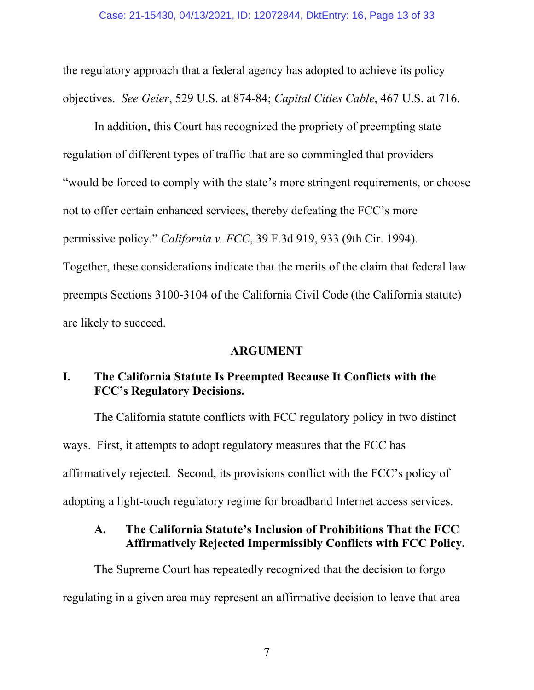the regulatory approach that a federal agency has adopted to achieve its policy objectives. *See Geier*, 529 U.S. at 874-84; *Capital Cities Cable*, 467 U.S. at 716.

In addition, this Court has recognized the propriety of preempting state regulation of different types of traffic that are so commingled that providers "would be forced to comply with the state's more stringent requirements, or choose not to offer certain enhanced services, thereby defeating the FCC's more permissive policy." *California v. FCC*, 39 F.3d 919, 933 (9th Cir. 1994). Together, these considerations indicate that the merits of the claim that federal law preempts Sections 3100-3104 of the California Civil Code (the California statute) are likely to succeed.

#### **ARGUMENT**

## **I. The California Statute Is Preempted Because It Conflicts with the FCC's Regulatory Decisions.**

The California statute conflicts with FCC regulatory policy in two distinct ways. First, it attempts to adopt regulatory measures that the FCC has affirmatively rejected. Second, its provisions conflict with the FCC's policy of adopting a light-touch regulatory regime for broadband Internet access services.

## **A. The California Statute's Inclusion of Prohibitions That the FCC Affirmatively Rejected Impermissibly Conflicts with FCC Policy.**

The Supreme Court has repeatedly recognized that the decision to forgo regulating in a given area may represent an affirmative decision to leave that area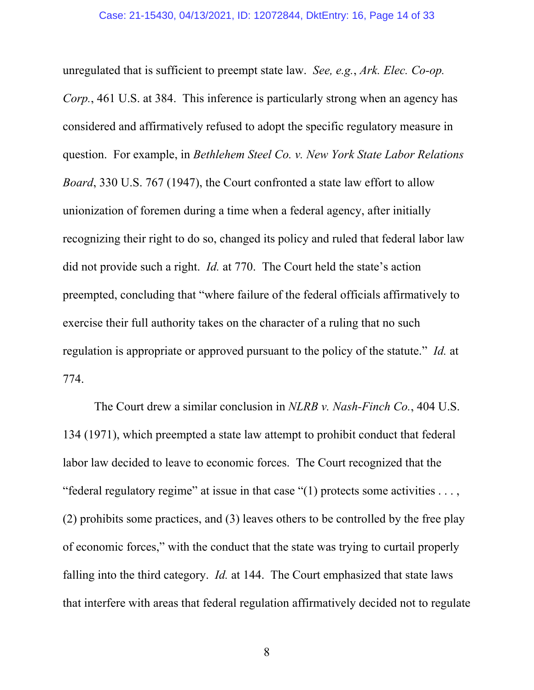unregulated that is sufficient to preempt state law. *See, e.g.*, *Ark. Elec. Co-op. Corp.*, 461 U.S. at 384. This inference is particularly strong when an agency has considered and affirmatively refused to adopt the specific regulatory measure in question. For example, in *Bethlehem Steel Co. v. New York State Labor Relations Board*, 330 U.S. 767 (1947), the Court confronted a state law effort to allow unionization of foremen during a time when a federal agency, after initially recognizing their right to do so, changed its policy and ruled that federal labor law did not provide such a right. *Id.* at 770. The Court held the state's action preempted, concluding that "where failure of the federal officials affirmatively to exercise their full authority takes on the character of a ruling that no such regulation is appropriate or approved pursuant to the policy of the statute." *Id.* at 774.

The Court drew a similar conclusion in *NLRB v. Nash-Finch Co.*, 404 U.S. 134 (1971), which preempted a state law attempt to prohibit conduct that federal labor law decided to leave to economic forces. The Court recognized that the "federal regulatory regime" at issue in that case " $(1)$  protects some activities ..., (2) prohibits some practices, and (3) leaves others to be controlled by the free play of economic forces," with the conduct that the state was trying to curtail properly falling into the third category. *Id.* at 144. The Court emphasized that state laws that interfere with areas that federal regulation affirmatively decided not to regulate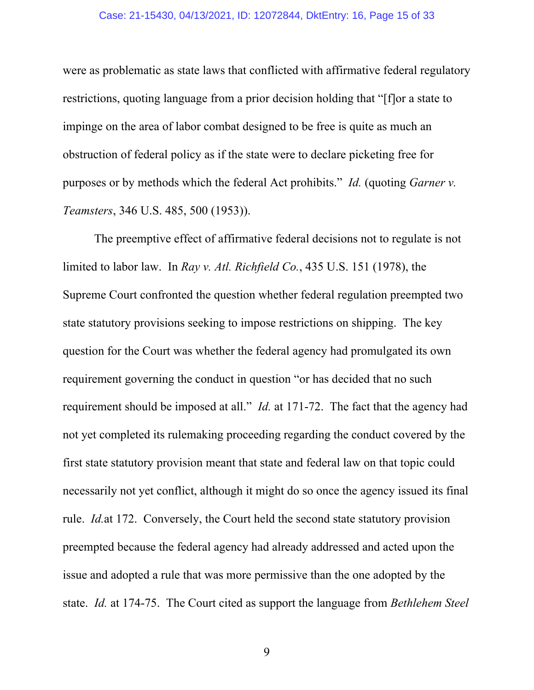#### Case: 21-15430, 04/13/2021, ID: 12072844, DktEntry: 16, Page 15 of 33

were as problematic as state laws that conflicted with affirmative federal regulatory restrictions, quoting language from a prior decision holding that "[f]or a state to impinge on the area of labor combat designed to be free is quite as much an obstruction of federal policy as if the state were to declare picketing free for purposes or by methods which the federal Act prohibits." *Id.* (quoting *Garner v. Teamsters*, 346 U.S. 485, 500 (1953)).

The preemptive effect of affirmative federal decisions not to regulate is not limited to labor law. In *Ray v. Atl. Richfield Co.*, 435 U.S. 151 (1978), the Supreme Court confronted the question whether federal regulation preempted two state statutory provisions seeking to impose restrictions on shipping. The key question for the Court was whether the federal agency had promulgated its own requirement governing the conduct in question "or has decided that no such requirement should be imposed at all." *Id.* at 171-72. The fact that the agency had not yet completed its rulemaking proceeding regarding the conduct covered by the first state statutory provision meant that state and federal law on that topic could necessarily not yet conflict, although it might do so once the agency issued its final rule. *Id.*at 172. Conversely, the Court held the second state statutory provision preempted because the federal agency had already addressed and acted upon the issue and adopted a rule that was more permissive than the one adopted by the state. *Id.* at 174-75. The Court cited as support the language from *Bethlehem Steel*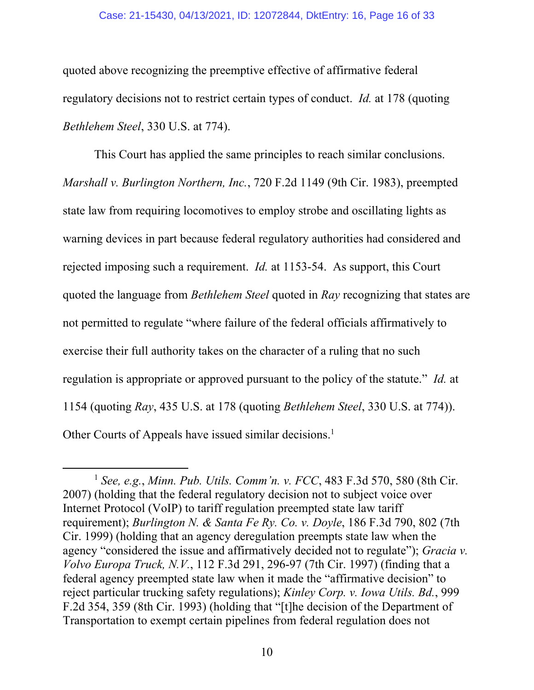#### Case: 21-15430, 04/13/2021, ID: 12072844, DktEntry: 16, Page 16 of 33

quoted above recognizing the preemptive effective of affirmative federal regulatory decisions not to restrict certain types of conduct. *Id.* at 178 (quoting *Bethlehem Steel*, 330 U.S. at 774).

This Court has applied the same principles to reach similar conclusions. *Marshall v. Burlington Northern, Inc.*, 720 F.2d 1149 (9th Cir. 1983), preempted state law from requiring locomotives to employ strobe and oscillating lights as warning devices in part because federal regulatory authorities had considered and rejected imposing such a requirement. *Id.* at 1153-54. As support, this Court quoted the language from *Bethlehem Steel* quoted in *Ray* recognizing that states are not permitted to regulate "where failure of the federal officials affirmatively to exercise their full authority takes on the character of a ruling that no such regulation is appropriate or approved pursuant to the policy of the statute." *Id.* at 1154 (quoting *Ray*, 435 U.S. at 178 (quoting *Bethlehem Steel*, 330 U.S. at 774)). Other Courts of Appeals have issued similar decisions.<sup>1</sup>

<sup>1</sup> *See, e.g.*, *Minn. Pub. Utils. Comm'n. v. FCC*, 483 F.3d 570, 580 (8th Cir. 2007) (holding that the federal regulatory decision not to subject voice over Internet Protocol (VoIP) to tariff regulation preempted state law tariff requirement); *Burlington N. & Santa Fe Ry. Co. v. Doyle*, 186 F.3d 790, 802 (7th Cir. 1999) (holding that an agency deregulation preempts state law when the agency "considered the issue and affirmatively decided not to regulate"); *Gracia v. Volvo Europa Truck, N.V.*, 112 F.3d 291, 296-97 (7th Cir. 1997) (finding that a federal agency preempted state law when it made the "affirmative decision" to reject particular trucking safety regulations); *Kinley Corp. v. Iowa Utils. Bd.*, 999 F.2d 354, 359 (8th Cir. 1993) (holding that "[t]he decision of the Department of Transportation to exempt certain pipelines from federal regulation does not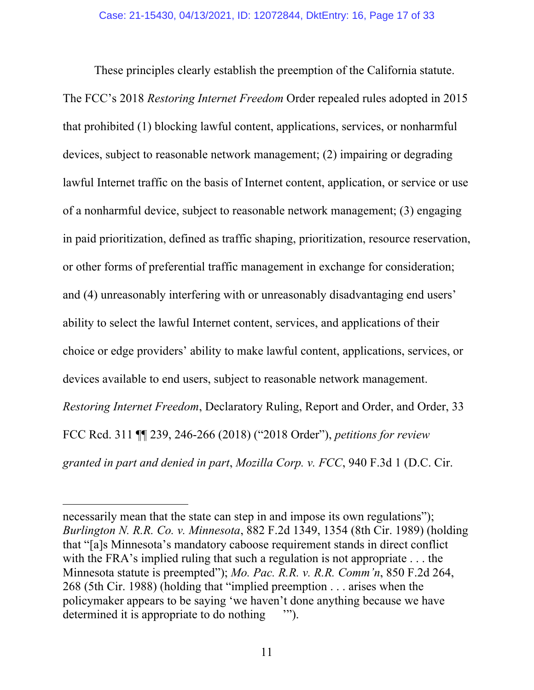These principles clearly establish the preemption of the California statute. The FCC's 2018 *Restoring Internet Freedom* Order repealed rules adopted in 2015 that prohibited (1) blocking lawful content, applications, services, or nonharmful devices, subject to reasonable network management; (2) impairing or degrading lawful Internet traffic on the basis of Internet content, application, or service or use of a nonharmful device, subject to reasonable network management; (3) engaging in paid prioritization, defined as traffic shaping, prioritization, resource reservation, or other forms of preferential traffic management in exchange for consideration; and (4) unreasonably interfering with or unreasonably disadvantaging end users' ability to select the lawful Internet content, services, and applications of their choice or edge providers' ability to make lawful content, applications, services, or devices available to end users, subject to reasonable network management. *Restoring Internet Freedom*, Declaratory Ruling, Report and Order, and Order, 33 FCC Rcd. 311 ¶¶ 239, 246-266 (2018) ("2018 Order"), *petitions for review granted in part and denied in part*, *Mozilla Corp. v. FCC*, 940 F.3d 1 (D.C. Cir.

necessarily mean that the state can step in and impose its own regulations"); *Burlington N. R.R. Co. v. Minnesota*, 882 F.2d 1349, 1354 (8th Cir. 1989) (holding that "[a]s Minnesota's mandatory caboose requirement stands in direct conflict with the FRA's implied ruling that such a regulation is not appropriate . . . the Minnesota statute is preempted"); *Mo. Pac. R.R. v. R.R. Comm'n*, 850 F.2d 264, 268 (5th Cir. 1988) (holding that "implied preemption . . . arises when the policymaker appears to be saying 'we haven't done anything because we have determined it is appropriate to do nothing '").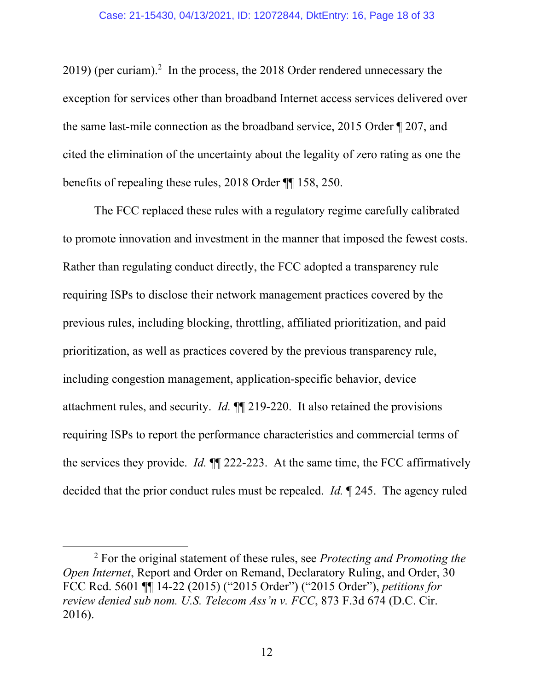$2019$ ) (per curiam).<sup>2</sup> In the process, the  $2018$  Order rendered unnecessary the exception for services other than broadband Internet access services delivered over the same last-mile connection as the broadband service, 2015 Order ¶ 207, and cited the elimination of the uncertainty about the legality of zero rating as one the benefits of repealing these rules, 2018 Order ¶¶ 158, 250.

The FCC replaced these rules with a regulatory regime carefully calibrated to promote innovation and investment in the manner that imposed the fewest costs. Rather than regulating conduct directly, the FCC adopted a transparency rule requiring ISPs to disclose their network management practices covered by the previous rules, including blocking, throttling, affiliated prioritization, and paid prioritization, as well as practices covered by the previous transparency rule, including congestion management, application-specific behavior, device attachment rules, and security. *Id.* ¶¶ 219-220. It also retained the provisions requiring ISPs to report the performance characteristics and commercial terms of the services they provide. *Id.* ¶¶ 222-223. At the same time, the FCC affirmatively decided that the prior conduct rules must be repealed. *Id.* ¶ 245. The agency ruled

<sup>2</sup> For the original statement of these rules, see *Protecting and Promoting the Open Internet*, Report and Order on Remand, Declaratory Ruling, and Order, 30 FCC Rcd. 5601 ¶¶ 14-22 (2015) ("2015 Order") ("2015 Order"), *petitions for review denied sub nom. U.S. Telecom Ass'n v. FCC*, 873 F.3d 674 (D.C. Cir. 2016).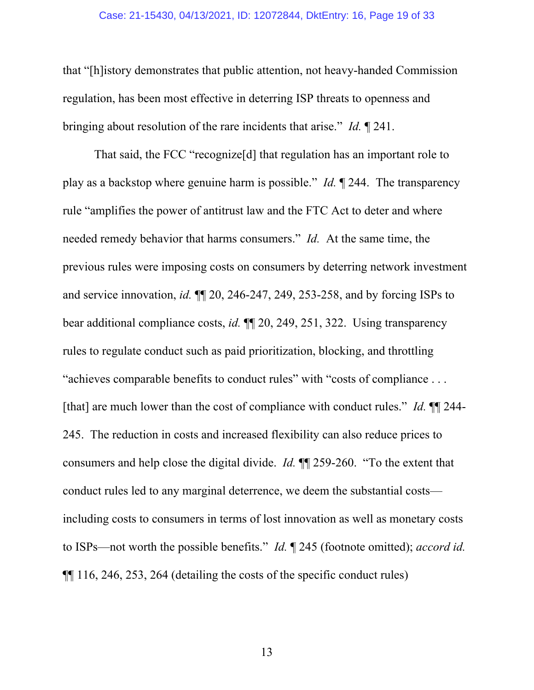#### Case: 21-15430, 04/13/2021, ID: 12072844, DktEntry: 16, Page 19 of 33

that "[h]istory demonstrates that public attention, not heavy-handed Commission regulation, has been most effective in deterring ISP threats to openness and bringing about resolution of the rare incidents that arise." *Id.* ¶ 241.

That said, the FCC "recognize[d] that regulation has an important role to play as a backstop where genuine harm is possible." *Id.* ¶ 244. The transparency rule "amplifies the power of antitrust law and the FTC Act to deter and where needed remedy behavior that harms consumers." *Id.* At the same time, the previous rules were imposing costs on consumers by deterring network investment and service innovation, *id.* ¶¶ 20, 246-247, 249, 253-258, and by forcing ISPs to bear additional compliance costs, *id.* ¶¶ 20, 249, 251, 322. Using transparency rules to regulate conduct such as paid prioritization, blocking, and throttling "achieves comparable benefits to conduct rules" with "costs of compliance . . . [that] are much lower than the cost of compliance with conduct rules." *Id.* ¶¶ 244- 245. The reduction in costs and increased flexibility can also reduce prices to consumers and help close the digital divide. *Id.* ¶¶ 259-260. "To the extent that conduct rules led to any marginal deterrence, we deem the substantial costs including costs to consumers in terms of lost innovation as well as monetary costs to ISPs—not worth the possible benefits." *Id.* ¶ 245 (footnote omitted); *accord id.* ¶¶ 116, 246, 253, 264 (detailing the costs of the specific conduct rules)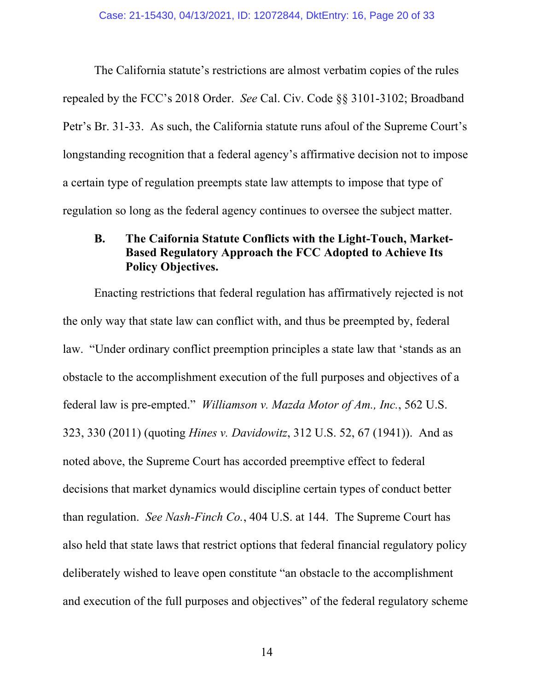The California statute's restrictions are almost verbatim copies of the rules repealed by the FCC's 2018 Order. *See* Cal. Civ. Code §§ 3101-3102; Broadband Petr's Br. 31-33. As such, the California statute runs afoul of the Supreme Court's longstanding recognition that a federal agency's affirmative decision not to impose a certain type of regulation preempts state law attempts to impose that type of regulation so long as the federal agency continues to oversee the subject matter.

### **B. The Caifornia Statute Conflicts with the Light-Touch, Market-Based Regulatory Approach the FCC Adopted to Achieve Its Policy Objectives.**

Enacting restrictions that federal regulation has affirmatively rejected is not the only way that state law can conflict with, and thus be preempted by, federal law. "Under ordinary conflict preemption principles a state law that 'stands as an obstacle to the accomplishment execution of the full purposes and objectives of a federal law is pre-empted." *Williamson v. Mazda Motor of Am., Inc.*, 562 U.S. 323, 330 (2011) (quoting *Hines v. Davidowitz*, 312 U.S. 52, 67 (1941)). And as noted above, the Supreme Court has accorded preemptive effect to federal decisions that market dynamics would discipline certain types of conduct better than regulation. *See Nash-Finch Co.*, 404 U.S. at 144. The Supreme Court has also held that state laws that restrict options that federal financial regulatory policy deliberately wished to leave open constitute "an obstacle to the accomplishment and execution of the full purposes and objectives" of the federal regulatory scheme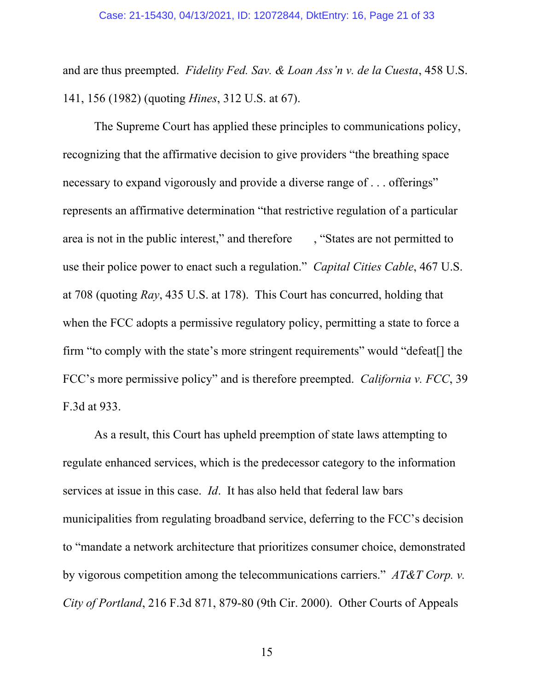and are thus preempted. *Fidelity Fed. Sav. & Loan Ass'n v. de la Cuesta*, 458 U.S. 141, 156 (1982) (quoting *Hines*, 312 U.S. at 67).

The Supreme Court has applied these principles to communications policy, recognizing that the affirmative decision to give providers "the breathing space necessary to expand vigorously and provide a diverse range of . . . offerings" represents an affirmative determination "that restrictive regulation of a particular area is not in the public interest," and therefore , "States are not permitted to use their police power to enact such a regulation." *Capital Cities Cable*, 467 U.S. at 708 (quoting *Ray*, 435 U.S. at 178). This Court has concurred, holding that when the FCC adopts a permissive regulatory policy, permitting a state to force a firm "to comply with the state's more stringent requirements" would "defeat[] the FCC's more permissive policy" and is therefore preempted. *California v. FCC*, 39 F.3d at 933.

As a result, this Court has upheld preemption of state laws attempting to regulate enhanced services, which is the predecessor category to the information services at issue in this case. *Id*. It has also held that federal law bars municipalities from regulating broadband service, deferring to the FCC's decision to "mandate a network architecture that prioritizes consumer choice, demonstrated by vigorous competition among the telecommunications carriers." *AT&T Corp. v. City of Portland*, 216 F.3d 871, 879-80 (9th Cir. 2000). Other Courts of Appeals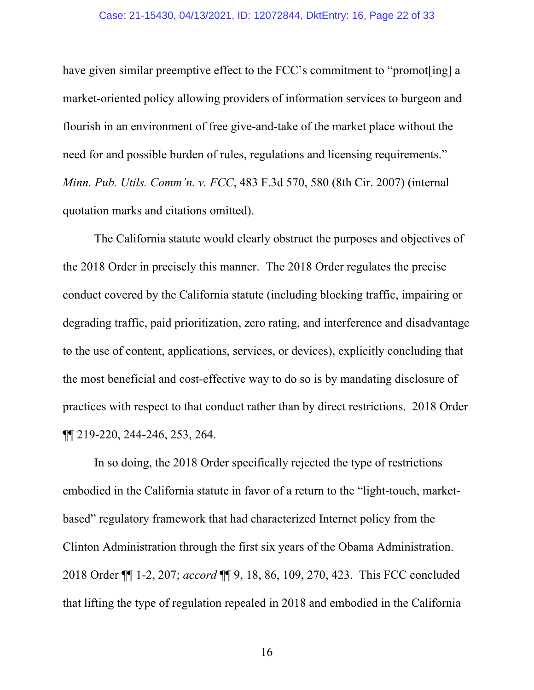have given similar preemptive effect to the FCC's commitment to "promot [ing] a market-oriented policy allowing providers of information services to burgeon and flourish in an environment of free give-and-take of the market place without the need for and possible burden of rules, regulations and licensing requirements." *Minn. Pub. Utils. Comm'n. v. FCC*, 483 F.3d 570, 580 (8th Cir. 2007) (internal quotation marks and citations omitted).

The California statute would clearly obstruct the purposes and objectives of the 2018 Order in precisely this manner. The 2018 Order regulates the precise conduct covered by the California statute (including blocking traffic, impairing or degrading traffic, paid prioritization, zero rating, and interference and disadvantage to the use of content, applications, services, or devices), explicitly concluding that the most beneficial and cost-effective way to do so is by mandating disclosure of practices with respect to that conduct rather than by direct restrictions. 2018 Order ¶¶ 219-220, 244-246, 253, 264.

In so doing, the 2018 Order specifically rejected the type of restrictions embodied in the California statute in favor of a return to the "light-touch, marketbased" regulatory framework that had characterized Internet policy from the Clinton Administration through the first six years of the Obama Administration. 2018 Order ¶¶ 1-2, 207; *accord* ¶¶ 9, 18, 86, 109, 270, 423. This FCC concluded that lifting the type of regulation repealed in 2018 and embodied in the California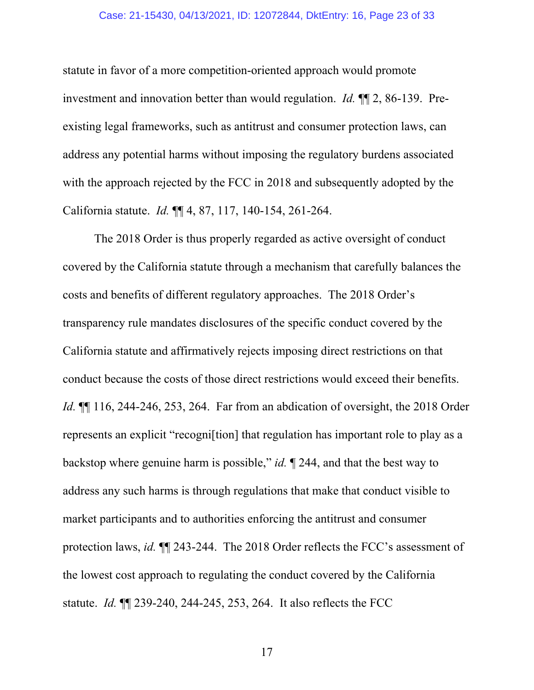#### Case: 21-15430, 04/13/2021, ID: 12072844, DktEntry: 16, Page 23 of 33

statute in favor of a more competition-oriented approach would promote investment and innovation better than would regulation. *Id.* ¶¶ 2, 86-139. Preexisting legal frameworks, such as antitrust and consumer protection laws, can address any potential harms without imposing the regulatory burdens associated with the approach rejected by the FCC in 2018 and subsequently adopted by the California statute. *Id.* ¶¶ 4, 87, 117, 140-154, 261-264.

The 2018 Order is thus properly regarded as active oversight of conduct covered by the California statute through a mechanism that carefully balances the costs and benefits of different regulatory approaches. The 2018 Order's transparency rule mandates disclosures of the specific conduct covered by the California statute and affirmatively rejects imposing direct restrictions on that conduct because the costs of those direct restrictions would exceed their benefits. *Id.* ¶¶ 116, 244-246, 253, 264. Far from an abdication of oversight, the 2018 Order represents an explicit "recogni[tion] that regulation has important role to play as a backstop where genuine harm is possible," *id.* ¶ 244, and that the best way to address any such harms is through regulations that make that conduct visible to market participants and to authorities enforcing the antitrust and consumer protection laws, *id.* ¶¶ 243-244. The 2018 Order reflects the FCC's assessment of the lowest cost approach to regulating the conduct covered by the California statute. *Id.* ¶¶ 239-240, 244-245, 253, 264. It also reflects the FCC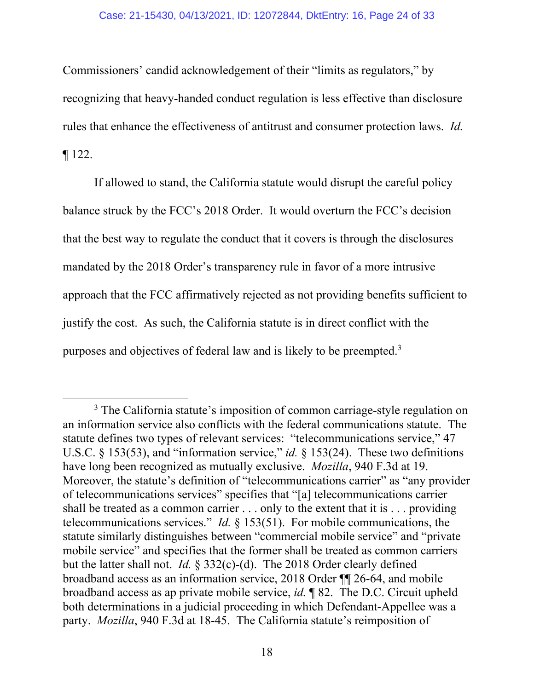Commissioners' candid acknowledgement of their "limits as regulators," by recognizing that heavy-handed conduct regulation is less effective than disclosure rules that enhance the effectiveness of antitrust and consumer protection laws. *Id.* ¶ 122.

If allowed to stand, the California statute would disrupt the careful policy balance struck by the FCC's 2018 Order. It would overturn the FCC's decision that the best way to regulate the conduct that it covers is through the disclosures mandated by the 2018 Order's transparency rule in favor of a more intrusive approach that the FCC affirmatively rejected as not providing benefits sufficient to justify the cost. As such, the California statute is in direct conflict with the purposes and objectives of federal law and is likely to be preempted.<sup>3</sup>

<sup>&</sup>lt;sup>3</sup> The California statute's imposition of common carriage-style regulation on an information service also conflicts with the federal communications statute. The statute defines two types of relevant services: "telecommunications service," 47 U.S.C. § 153(53), and "information service," *id.* § 153(24). These two definitions have long been recognized as mutually exclusive. *Mozilla*, 940 F.3d at 19. Moreover, the statute's definition of "telecommunications carrier" as "any provider of telecommunications services" specifies that "[a] telecommunications carrier shall be treated as a common carrier . . . only to the extent that it is . . . providing telecommunications services." *Id.* § 153(51). For mobile communications, the statute similarly distinguishes between "commercial mobile service" and "private mobile service" and specifies that the former shall be treated as common carriers but the latter shall not. *Id.* § 332(c)-(d). The 2018 Order clearly defined broadband access as an information service, 2018 Order ¶¶ 26-64, and mobile broadband access as ap private mobile service, *id.* ¶ 82. The D.C. Circuit upheld both determinations in a judicial proceeding in which Defendant-Appellee was a party. *Mozilla*, 940 F.3d at 18-45. The California statute's reimposition of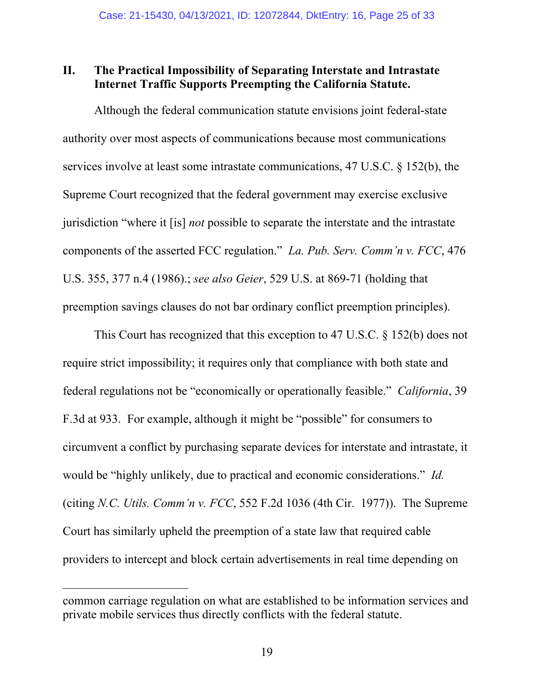### **II. The Practical Impossibility of Separating Interstate and Intrastate Internet Traffic Supports Preempting the California Statute.**

Although the federal communication statute envisions joint federal-state authority over most aspects of communications because most communications services involve at least some intrastate communications, 47 U.S.C. § 152(b), the Supreme Court recognized that the federal government may exercise exclusive jurisdiction "where it [is] *not* possible to separate the interstate and the intrastate components of the asserted FCC regulation." *La. Pub. Serv. Comm'n v. FCC*, 476 U.S. 355, 377 n.4 (1986).; *see also Geier*, 529 U.S. at 869-71 (holding that preemption savings clauses do not bar ordinary conflict preemption principles).

This Court has recognized that this exception to 47 U.S.C. § 152(b) does not require strict impossibility; it requires only that compliance with both state and federal regulations not be "economically or operationally feasible." *California*, 39 F.3d at 933. For example, although it might be "possible" for consumers to circumvent a conflict by purchasing separate devices for interstate and intrastate, it would be "highly unlikely, due to practical and economic considerations." *Id.* (citing *N.C. Utils. Comm'n v. FCC*, 552 F.2d 1036 (4th Cir. 1977)). The Supreme Court has similarly upheld the preemption of a state law that required cable providers to intercept and block certain advertisements in real time depending on

common carriage regulation on what are established to be information services and private mobile services thus directly conflicts with the federal statute.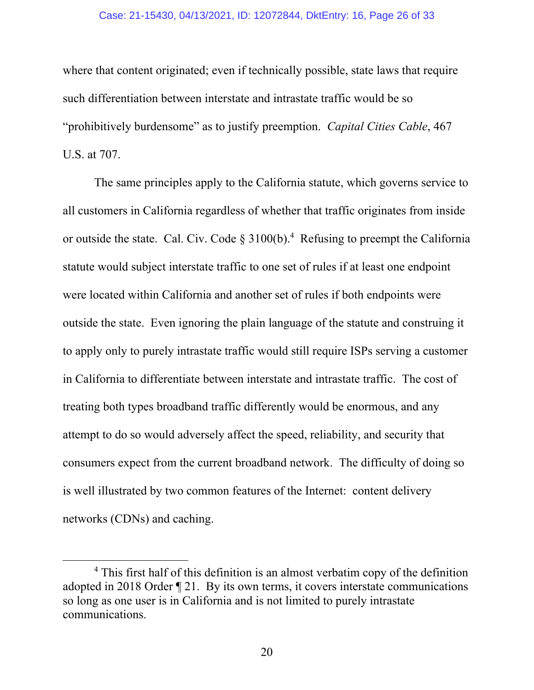#### Case: 21-15430, 04/13/2021, ID: 12072844, DktEntry: 16, Page 26 of 33

where that content originated; even if technically possible, state laws that require such differentiation between interstate and intrastate traffic would be so "prohibitively burdensome" as to justify preemption. *Capital Cities Cable*, 467 U.S. at 707.

The same principles apply to the California statute, which governs service to all customers in California regardless of whether that traffic originates from inside or outside the state. Cal. Civ. Code  $\S 3100(b)$ .<sup>4</sup> Refusing to preempt the California statute would subject interstate traffic to one set of rules if at least one endpoint were located within California and another set of rules if both endpoints were outside the state. Even ignoring the plain language of the statute and construing it to apply only to purely intrastate traffic would still require ISPs serving a customer in California to differentiate between interstate and intrastate traffic. The cost of treating both types broadband traffic differently would be enormous, and any attempt to do so would adversely affect the speed, reliability, and security that consumers expect from the current broadband network. The difficulty of doing so is well illustrated by two common features of the Internet: content delivery networks (CDNs) and caching.

<sup>&</sup>lt;sup>4</sup> This first half of this definition is an almost verbatim copy of the definition adopted in 2018 Order ¶ 21. By its own terms, it covers interstate communications so long as one user is in California and is not limited to purely intrastate communications.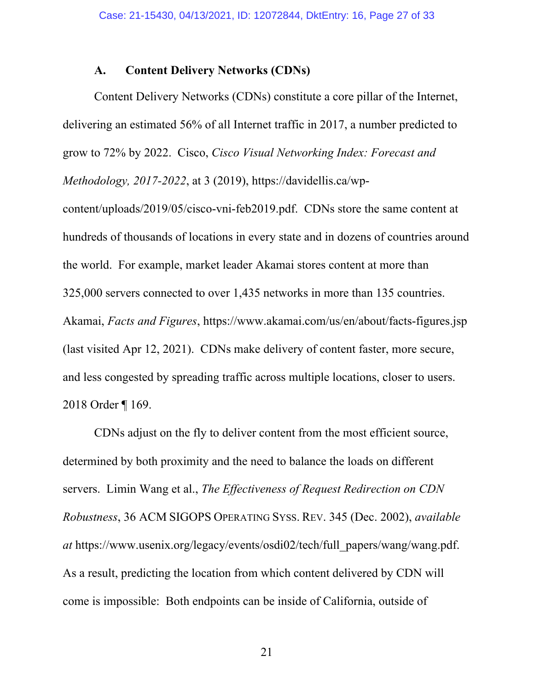#### **A. Content Delivery Networks (CDNs)**

Content Delivery Networks (CDNs) constitute a core pillar of the Internet, delivering an estimated 56% of all Internet traffic in 2017, a number predicted to grow to 72% by 2022. Cisco, *Cisco Visual Networking Index: Forecast and Methodology, 2017-2022*, at 3 (2019), https://davidellis.ca/wp-

content/uploads/2019/05/cisco-vni-feb2019.pdf. CDNs store the same content at hundreds of thousands of locations in every state and in dozens of countries around the world. For example, market leader Akamai stores content at more than 325,000 servers connected to over 1,435 networks in more than 135 countries. Akamai, *Facts and Figures*, https://www.akamai.com/us/en/about/facts-figures.jsp (last visited Apr 12, 2021). CDNs make delivery of content faster, more secure, and less congested by spreading traffic across multiple locations, closer to users. 2018 Order ¶ 169.

CDNs adjust on the fly to deliver content from the most efficient source, determined by both proximity and the need to balance the loads on different servers. Limin Wang et al., *The Effectiveness of Request Redirection on CDN Robustness*, 36 ACM SIGOPS OPERATING SYSS. REV. 345 (Dec. 2002), *available at* https://www.usenix.org/legacy/events/osdi02/tech/full\_papers/wang/wang.pdf. As a result, predicting the location from which content delivered by CDN will come is impossible: Both endpoints can be inside of California, outside of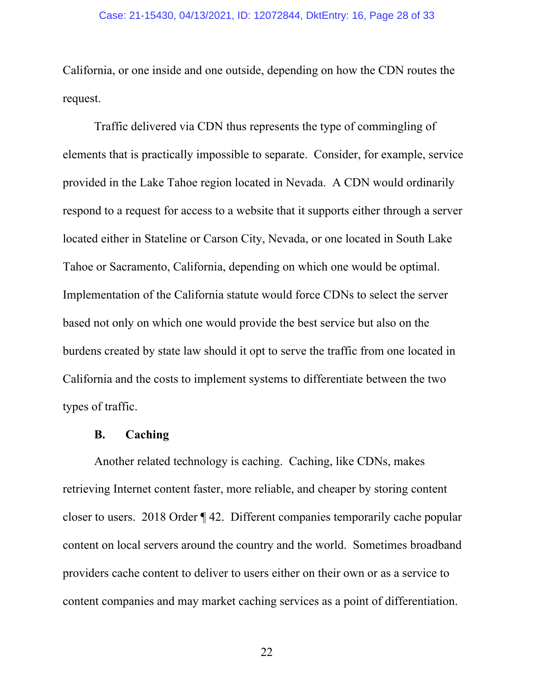California, or one inside and one outside, depending on how the CDN routes the request.

Traffic delivered via CDN thus represents the type of commingling of elements that is practically impossible to separate. Consider, for example, service provided in the Lake Tahoe region located in Nevada. A CDN would ordinarily respond to a request for access to a website that it supports either through a server located either in Stateline or Carson City, Nevada, or one located in South Lake Tahoe or Sacramento, California, depending on which one would be optimal. Implementation of the California statute would force CDNs to select the server based not only on which one would provide the best service but also on the burdens created by state law should it opt to serve the traffic from one located in California and the costs to implement systems to differentiate between the two types of traffic.

## **B. Caching**

Another related technology is caching. Caching, like CDNs, makes retrieving Internet content faster, more reliable, and cheaper by storing content closer to users. 2018 Order ¶ 42. Different companies temporarily cache popular content on local servers around the country and the world. Sometimes broadband providers cache content to deliver to users either on their own or as a service to content companies and may market caching services as a point of differentiation.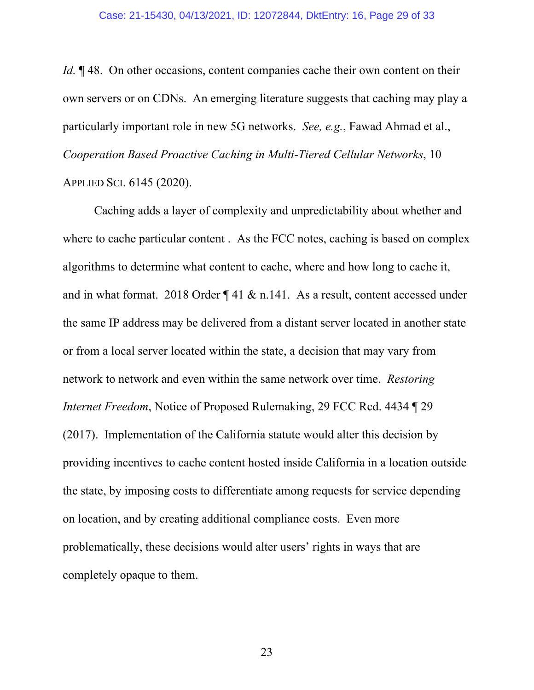*Id.* ¶ 48. On other occasions, content companies cache their own content on their own servers or on CDNs. An emerging literature suggests that caching may play a particularly important role in new 5G networks. *See, e.g.*, Fawad Ahmad et al., *Cooperation Based Proactive Caching in Multi-Tiered Cellular Networks*, 10 APPLIED SCI. 6145 (2020).

Caching adds a layer of complexity and unpredictability about whether and where to cache particular content . As the FCC notes, caching is based on complex algorithms to determine what content to cache, where and how long to cache it, and in what format. 2018 Order ¶ 41 & n.141. As a result, content accessed under the same IP address may be delivered from a distant server located in another state or from a local server located within the state, a decision that may vary from network to network and even within the same network over time. *Restoring Internet Freedom*, Notice of Proposed Rulemaking, 29 FCC Rcd. 4434 ¶ 29 (2017). Implementation of the California statute would alter this decision by providing incentives to cache content hosted inside California in a location outside the state, by imposing costs to differentiate among requests for service depending on location, and by creating additional compliance costs. Even more problematically, these decisions would alter users' rights in ways that are completely opaque to them.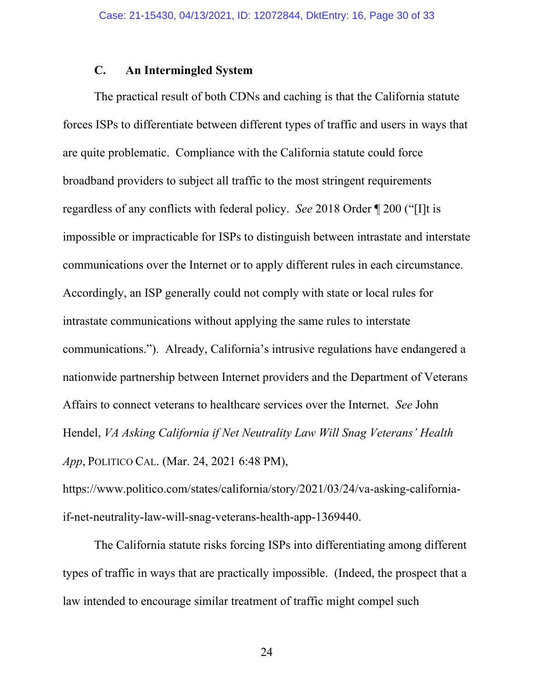#### **C. An Intermingled System**

The practical result of both CDNs and caching is that the California statute forces ISPs to differentiate between different types of traffic and users in ways that are quite problematic. Compliance with the California statute could force broadband providers to subject all traffic to the most stringent requirements regardless of any conflicts with federal policy. *See* 2018 Order ¶ 200 ("[I]t is impossible or impracticable for ISPs to distinguish between intrastate and interstate communications over the Internet or to apply different rules in each circumstance. Accordingly, an ISP generally could not comply with state or local rules for intrastate communications without applying the same rules to interstate communications."). Already, California's intrusive regulations have endangered a nationwide partnership between Internet providers and the Department of Veterans Affairs to connect veterans to healthcare services over the Internet. *See* John Hendel, *VA Asking California if Net Neutrality Law Will Snag Veterans' Health App*, POLITICO CAL. (Mar. 24, 2021 6:48 PM),

https://www.politico.com/states/california/story/2021/03/24/va-asking-californiaif-net-neutrality-law-will-snag-veterans-health-app-1369440.

The California statute risks forcing ISPs into differentiating among different types of traffic in ways that are practically impossible. (Indeed, the prospect that a law intended to encourage similar treatment of traffic might compel such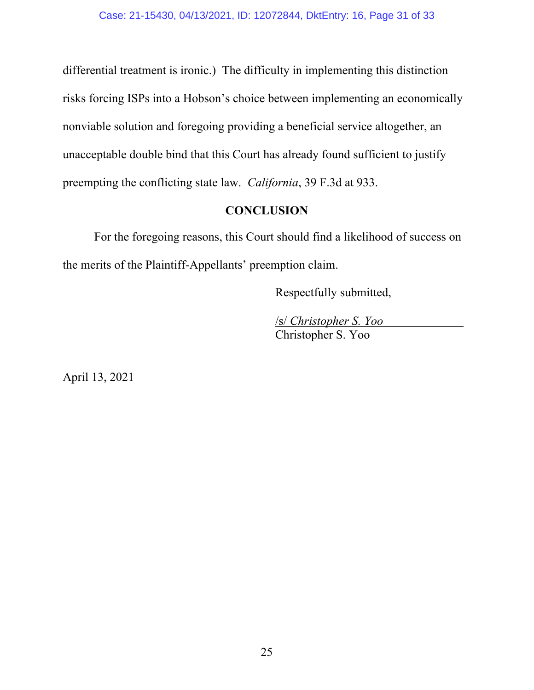differential treatment is ironic.) The difficulty in implementing this distinction risks forcing ISPs into a Hobson's choice between implementing an economically nonviable solution and foregoing providing a beneficial service altogether, an unacceptable double bind that this Court has already found sufficient to justify preempting the conflicting state law. *California*, 39 F.3d at 933.

## **CONCLUSION**

For the foregoing reasons, this Court should find a likelihood of success on the merits of the Plaintiff-Appellants' preemption claim.

Respectfully submitted,

/s/ *Christopher S. Yoo* Christopher S. Yoo

April 13, 2021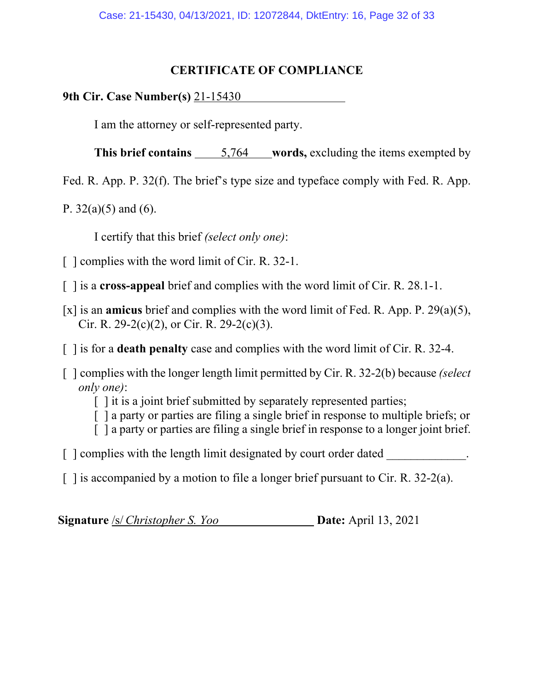#### **CERTIFICATE OF COMPLIANCE**

**9th Cir. Case Number(s)** 21-15430

I am the attorney or self-represented party.

**This brief contains** 5,764 words, excluding the items exempted by

Fed. R. App. P. 32(f). The brief's type size and typeface comply with Fed. R. App.

P.  $32(a)(5)$  and  $(6)$ .

I certify that this brief *(select only one)*:

- [ ] complies with the word limit of Cir. R. 32-1.
- [ ] is a **cross-appeal** brief and complies with the word limit of Cir. R. 28.1-1.
- [x] is an **amicus** brief and complies with the word limit of Fed. R. App. P. 29(a)(5), Cir. R. 29-2(c)(2), or Cir. R. 29-2(c)(3).
- [ ] is for a **death penalty** case and complies with the word limit of Cir. R. 32-4.
- [ ] complies with the longer length limit permitted by Cir. R. 32-2(b) because *(select only one)*:
	- $\lceil \cdot \rceil$  it is a joint brief submitted by separately represented parties;
	- [ ] a party or parties are filing a single brief in response to multiple briefs; or
	- [ ] a party or parties are filing a single brief in response to a longer joint brief.
- $\lceil$  | complies with the length limit designated by court order dated
- $\lceil$  1 is accompanied by a motion to file a longer brief pursuant to Cir. R. 32-2(a).

**Signature** /s/ *Christopher S. Yoo* **Date:** April 13, 2021